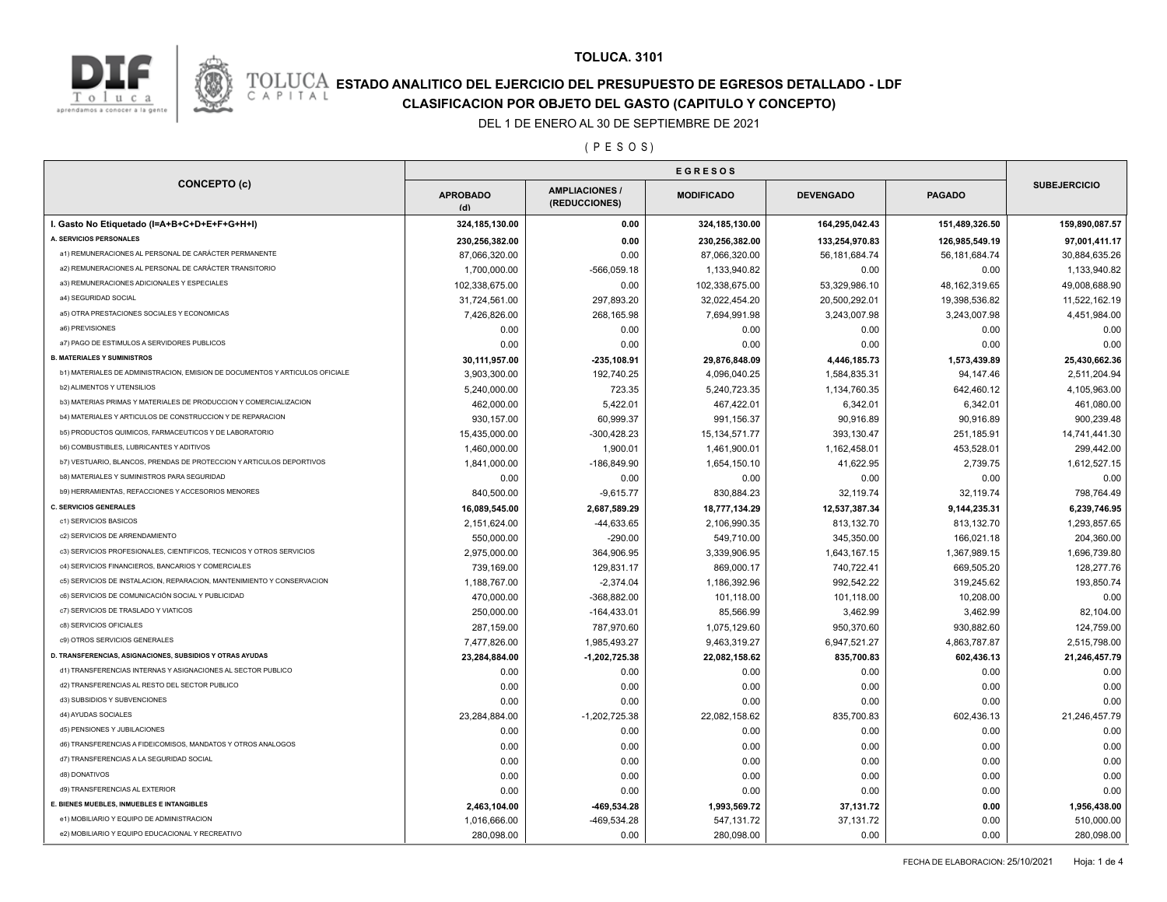

#### **TOLUCA. 3101**

### **ESTADO ANALITICO DEL EJERCICIO DEL PRESUPUESTO DE EGRESOS DETALLADO - LDF**<br>CAPITAL CIASIFICACION POR OBJETO DEL GASTO (CAPITULO Y CONCEPTO) **CLASIFICACION POR OBJETO DEL GASTO (CAPITULO Y CONCEPTO)**

#### DEL 1 DE ENERO AL 30 DE SEPTIEMBRE DE 2021

( P E S O S )

|                                                                              | <b>EGRESOS</b>         |                                        |                   |                  |                  |                     |  |
|------------------------------------------------------------------------------|------------------------|----------------------------------------|-------------------|------------------|------------------|---------------------|--|
| <b>CONCEPTO (c)</b>                                                          | <b>APROBADO</b><br>(d) | <b>AMPLIACIONES /</b><br>(REDUCCIONES) | <b>MODIFICADO</b> | <b>DEVENGADO</b> | <b>PAGADO</b>    | <b>SUBEJERCICIO</b> |  |
| I. Gasto No Etiquetado (I=A+B+C+D+E+F+G+H+I)                                 | 324, 185, 130.00       | 0.00                                   | 324,185,130.00    | 164,295,042.43   | 151,489,326.50   | 159,890,087.57      |  |
| A. SERVICIOS PERSONALES                                                      | 230,256,382.00         | 0.00                                   | 230,256,382.00    | 133,254,970.83   | 126,985,549.19   | 97,001,411.17       |  |
| a1) REMUNERACIONES AL PERSONAL DE CARÁCTER PERMANENTE                        | 87,066,320.00          | 0.00                                   | 87,066,320.00     | 56, 181, 684. 74 | 56, 181, 684. 74 | 30,884,635.26       |  |
| a2) REMUNERACIONES AL PERSONAL DE CARÁCTER TRANSITORIO                       | 1,700,000.00           | $-566,059.18$                          | 1,133,940.82      | 0.00             | 0.00             | 1,133,940.82        |  |
| a3) REMUNERACIONES ADICIONALES Y ESPECIALES                                  | 102,338,675.00         | 0.00                                   | 102,338,675.00    | 53,329,986.10    | 48, 162, 319. 65 | 49,008,688.90       |  |
| a4) SEGURIDAD SOCIAL                                                         | 31,724,561.00          | 297,893.20                             | 32,022,454.20     | 20,500,292.01    | 19,398,536.82    | 11,522,162.19       |  |
| a5) OTRA PRESTACIONES SOCIALES Y ECONOMICAS                                  | 7,426,826.00           | 268,165.98                             | 7,694,991.98      | 3,243,007.98     | 3,243,007.98     | 4,451,984.00        |  |
| a6) PREVISIONES                                                              | 0.00                   | 0.00                                   | 0.00              | 0.00             | 0.00             | 0.00                |  |
| a7) PAGO DE ESTIMULOS A SERVIDORES PUBLICOS                                  | 0.00                   | 0.00                                   | 0.00              | 0.00             | 0.00             | 0.00                |  |
| <b>B. MATERIALES Y SUMINISTROS</b>                                           | 30,111,957.00          | $-235, 108.91$                         | 29,876,848.09     | 4,446,185.73     | 1,573,439.89     | 25,430,662.36       |  |
| b1) MATERIALES DE ADMINISTRACION, EMISION DE DOCUMENTOS Y ARTICULOS OFICIALE | 3,903,300.00           | 192,740.25                             | 4,096,040.25      | 1,584,835.31     | 94,147.46        | 2,511,204.94        |  |
| <b>b2) ALIMENTOS Y UTENSILIOS</b>                                            | 5,240,000.00           | 723.35                                 | 5,240,723.35      | 1,134,760.35     | 642,460.12       | 4,105,963.00        |  |
| b3) MATERIAS PRIMAS Y MATERIALES DE PRODUCCION Y COMERCIALIZACION            | 462,000.00             | 5,422.01                               | 467,422.01        | 6,342.01         | 6,342.01         | 461,080.00          |  |
| b4) MATERIALES Y ARTICULOS DE CONSTRUCCION Y DE REPARACION                   | 930,157.00             | 60,999.37                              | 991,156.37        | 90,916.89        | 90,916.89        | 900,239.48          |  |
| b5) PRODUCTOS QUIMICOS, FARMACEUTICOS Y DE LABORATORIO                       | 15,435,000.00          | $-300,428.23$                          | 15, 134, 571. 77  | 393,130.47       | 251,185.91       | 14,741,441.30       |  |
| <b>b6) COMBUSTIBLES, LUBRICANTES Y ADITIVOS</b>                              | 1,460,000.00           | 1,900.01                               | 1,461,900.01      | 1,162,458.01     | 453,528.01       | 299,442.00          |  |
| b7) VESTUARIO, BLANCOS, PRENDAS DE PROTECCION Y ARTICULOS DEPORTIVOS         | 1,841,000.00           | $-186,849.90$                          | 1,654,150.10      | 41,622.95        | 2,739.75         | 1,612,527.15        |  |
| <b>b8) MATERIALES Y SUMINISTROS PARA SEGURIDAD</b>                           | 0.00                   | 0.00                                   | 0.00              | 0.00             | 0.00             | 0.00                |  |
| b9) HERRAMIENTAS, REFACCIONES Y ACCESORIOS MENORES                           | 840,500.00             | $-9,615.77$                            | 830,884.23        | 32,119.74        | 32,119.74        | 798,764.49          |  |
| <b>C. SERVICIOS GENERALES</b>                                                | 16,089,545.00          | 2,687,589.29                           | 18,777,134.29     | 12,537,387.34    | 9,144,235.31     | 6,239,746.95        |  |
| c1) SERVICIOS BASICOS                                                        | 2,151,624.00           | $-44,633.65$                           | 2,106,990.35      | 813,132.70       | 813,132.70       | 1,293,857.65        |  |
| c2) SERVICIOS DE ARRENDAMIENTO                                               | 550,000.00             | $-290.00$                              | 549,710.00        | 345,350.00       | 166,021.18       | 204,360.00          |  |
| c3) SERVICIOS PROFESIONALES, CIENTIFICOS, TECNICOS Y OTROS SERVICIOS         | 2,975,000.00           | 364,906.95                             | 3,339,906.95      | 1,643,167.15     | 1,367,989.15     | 1,696,739.80        |  |
| c4) SERVICIOS FINANCIEROS, BANCARIOS Y COMERCIALES                           | 739,169.00             | 129,831.17                             | 869,000.17        | 740,722.41       | 669,505.20       | 128,277.76          |  |
| c5) SERVICIOS DE INSTALACION, REPARACION, MANTENIMIENTO Y CONSERVACION       | 1,188,767.00           | $-2,374.04$                            | 1,186,392.96      | 992,542.22       | 319,245.62       | 193,850.74          |  |
| c6) SERVICIOS DE COMUNICACIÓN SOCIAL Y PUBLICIDAD                            | 470,000.00             | $-368,882.00$                          | 101,118.00        | 101,118.00       | 10,208.00        | 0.00                |  |
| c7) SERVICIOS DE TRASLADO Y VIATICOS                                         | 250,000.00             | $-164,433.01$                          | 85,566.99         | 3,462.99         | 3,462.99         | 82,104.00           |  |
| c8) SERVICIOS OFICIALES                                                      | 287,159.00             | 787,970.60                             | 1,075,129.60      | 950,370.60       | 930,882.60       | 124,759.00          |  |
| c9) OTROS SERVICIOS GENERALES                                                | 7,477,826.00           | 1,985,493.27                           | 9,463,319.27      | 6,947,521.27     | 4,863,787.87     | 2,515,798.00        |  |
| D. TRANSFERENCIAS, ASIGNACIONES, SUBSIDIOS Y OTRAS AYUDAS                    | 23,284,884.00          | $-1,202,725.38$                        | 22,082,158.62     | 835,700.83       | 602,436.13       | 21,246,457.79       |  |
| d1) TRANSFERENCIAS INTERNAS Y ASIGNACIONES AL SECTOR PUBLICO                 | 0.00                   | 0.00                                   | 0.00              | 0.00             | 0.00             | 0.00                |  |
| d2) TRANSFERENCIAS AL RESTO DEL SECTOR PUBLICO                               | 0.00                   | 0.00                                   | 0.00              | 0.00             | 0.00             | 0.00                |  |
| d3) SUBSIDIOS Y SUBVENCIONES                                                 | 0.00                   | 0.00                                   | 0.00              | 0.00             | 0.00             | 0.00                |  |
| d4) AYUDAS SOCIALES                                                          | 23,284,884.00          | $-1,202,725.38$                        | 22,082,158.62     | 835,700.83       | 602,436.13       | 21,246,457.79       |  |
| d5) PENSIONES Y JUBILACIONES                                                 | 0.00                   | 0.00                                   | 0.00              | 0.00             | 0.00             | 0.00                |  |
| d6) TRANSFERENCIAS A FIDEICOMISOS, MANDATOS Y OTROS ANALOGOS                 | 0.00                   | 0.00                                   | 0.00              | 0.00             | 0.00             | 0.00                |  |
| d7) TRANSFERENCIAS A LA SEGURIDAD SOCIAL                                     | 0.00                   | 0.00                                   | 0.00              | 0.00             | 0.00             | 0.00                |  |
| d8) DONATIVOS                                                                | 0.00                   | 0.00                                   | 0.00              | 0.00             | 0.00             | 0.00                |  |
| d9) TRANSFERENCIAS AL EXTERIOR                                               | 0.00                   | 0.00                                   | 0.00              | 0.00             | 0.00             | 0.00                |  |
| E. BIENES MUEBLES, INMUEBLES E INTANGIBLES                                   | 2,463,104.00           | -469,534.28                            | 1,993,569.72      | 37,131.72        | 0.00             | 1,956,438.00        |  |
| e1) MOBILIARIO Y EQUIPO DE ADMINISTRACION                                    | 1,016,666.00           | -469,534.28                            | 547, 131.72       | 37,131.72        | 0.00             | 510,000.00          |  |
|                                                                              |                        |                                        |                   |                  |                  |                     |  |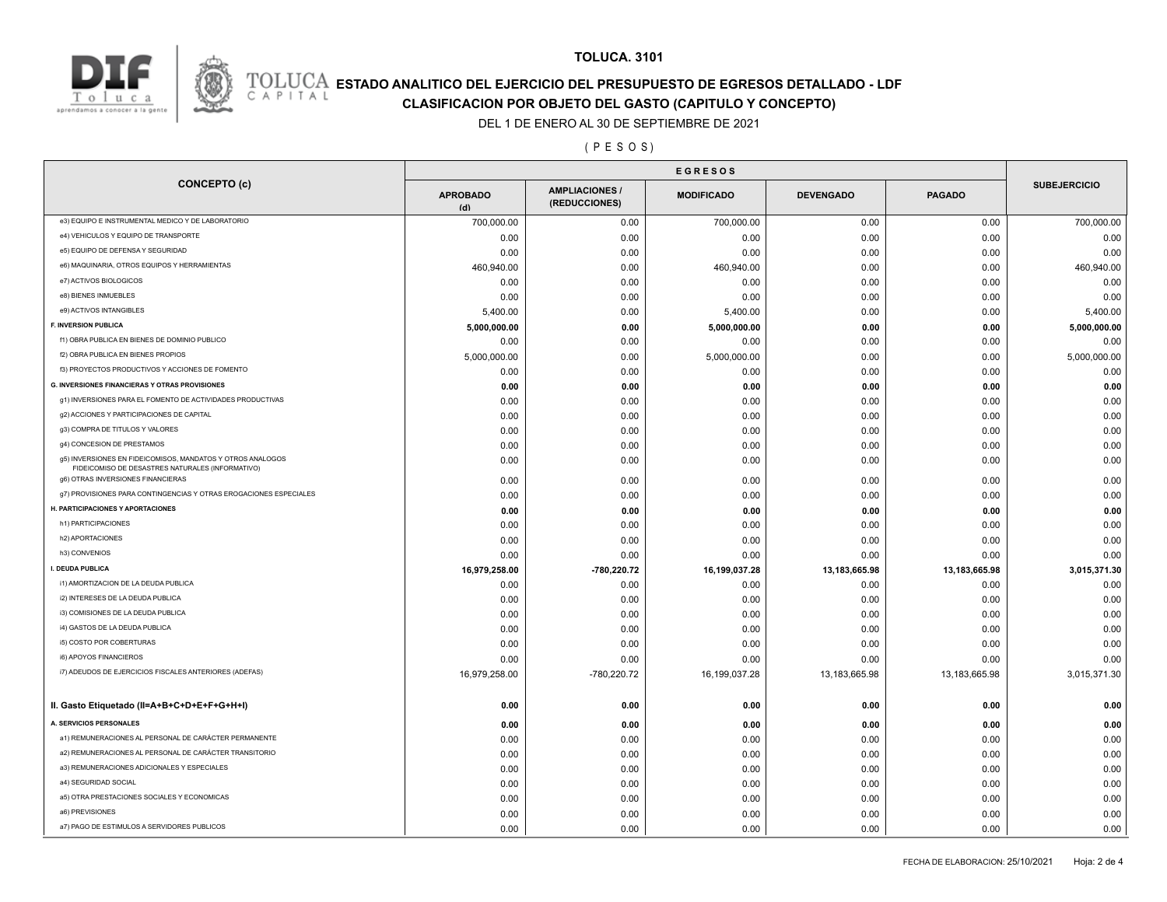

#### **TOLUCA. 3101**

## **ESTADO ANALITICO DEL EJERCICIO DEL PRESUPUESTO DE EGRESOS DETALLADO - LDF**<br>CAPITAL CLASIFICACION POR OR IETO DEL GASTO (CARITILLO Y CONCERTO)

### **CLASIFICACION POR OBJETO DEL GASTO (CAPITULO Y CONCEPTO)**

#### DEL 1 DE ENERO AL 30 DE SEPTIEMBRE DE 2021

#### ( P E S O S )

|                                                                                                                | <b>EGRESOS</b>         |                                        |                   |                  |               |                     |
|----------------------------------------------------------------------------------------------------------------|------------------------|----------------------------------------|-------------------|------------------|---------------|---------------------|
| <b>CONCEPTO (c)</b>                                                                                            | <b>APROBADO</b><br>(d) | <b>AMPLIACIONES /</b><br>(REDUCCIONES) | <b>MODIFICADO</b> | <b>DEVENGADO</b> | <b>PAGADO</b> | <b>SUBEJERCICIO</b> |
| e3) EQUIPO E INSTRUMENTAL MEDICO Y DE LABORATORIO                                                              | 700,000.00             | 0.00                                   | 700,000.00        | 0.00             | 0.00          | 700,000.00          |
| e4) VEHICULOS Y EQUIPO DE TRANSPORTE                                                                           | 0.00                   | 0.00                                   | 0.00              | 0.00             | 0.00          | 0.00                |
| e5) EQUIPO DE DEFENSA Y SEGURIDAD                                                                              | 0.00                   | 0.00                                   | 0.00              | 0.00             | 0.00          | 0.00                |
| e6) MAQUINARIA, OTROS EQUIPOS Y HERRAMIENTAS                                                                   | 460,940.00             | 0.00                                   | 460,940.00        | 0.00             | 0.00          | 460,940.00          |
| e7) ACTIVOS BIOLOGICOS                                                                                         | 0.00                   | 0.00                                   | 0.00              | 0.00             | 0.00          | 0.00                |
| e8) BIENES INMUEBLES                                                                                           | 0.00                   | 0.00                                   | 0.00              | 0.00             | 0.00          | 0.00                |
| e9) ACTIVOS INTANGIBLES                                                                                        | 5,400.00               | 0.00                                   | 5,400.00          | 0.00             | 0.00          | 5,400.00            |
| <b>F. INVERSION PUBLICA</b>                                                                                    | 5,000,000.00           | 0.00                                   | 5,000,000.00      | 0.00             | 0.00          | 5,000,000.00        |
| f1) OBRA PUBLICA EN BIENES DE DOMINIO PUBLICO                                                                  | 0.00                   | 0.00                                   | 0.00              | 0.00             | 0.00          | 0.00                |
| f2) OBRA PUBLICA EN BIENES PROPIOS                                                                             | 5,000,000.00           | 0.00                                   | 5,000,000.00      | 0.00             | 0.00          | 5,000,000.00        |
| f3) PROYECTOS PRODUCTIVOS Y ACCIONES DE FOMENTO                                                                | 0.00                   | 0.00                                   | 0.00              | 0.00             | 0.00          | 0.00                |
| G. INVERSIONES FINANCIERAS Y OTRAS PROVISIONES                                                                 | 0.00                   | 0.00                                   | 0.00              | 0.00             | 0.00          | 0.00                |
| g1) INVERSIONES PARA EL FOMENTO DE ACTIVIDADES PRODUCTIVAS                                                     | 0.00                   | 0.00                                   | 0.00              | 0.00             | 0.00          | 0.00                |
| g2) ACCIONES Y PARTICIPACIONES DE CAPITAL                                                                      | 0.00                   | 0.00                                   | 0.00              | 0.00             | 0.00          | 0.00                |
| g3) COMPRA DE TITULOS Y VALORES                                                                                | 0.00                   | 0.00                                   | 0.00              | 0.00             | 0.00          | 0.00                |
| g4) CONCESION DE PRESTAMOS                                                                                     | 0.00                   | 0.00                                   | 0.00              | 0.00             | 0.00          | 0.00                |
| g5) INVERSIONES EN FIDEICOMISOS, MANDATOS Y OTROS ANALOGOS<br>FIDEICOMISO DE DESASTRES NATURALES (INFORMATIVO) | 0.00                   | 0.00                                   | 0.00              | 0.00             | 0.00          | 0.00                |
| g6) OTRAS INVERSIONES FINANCIERAS                                                                              | 0.00                   | 0.00                                   | 0.00              | 0.00             | 0.00          | 0.00                |
| g7) PROVISIONES PARA CONTINGENCIAS Y OTRAS EROGACIONES ESPECIALES                                              | 0.00                   | 0.00                                   | 0.00              | 0.00             | 0.00          | 0.00                |
| H. PARTICIPACIONES Y APORTACIONES                                                                              | 0.00                   | 0.00                                   | 0.00              | 0.00             | 0.00          | 0.00                |
| h1) PARTICIPACIONES                                                                                            | 0.00                   | 0.00                                   | 0.00              | 0.00             | 0.00          | 0.00                |
| h2) APORTACIONES                                                                                               | 0.00                   | 0.00                                   | 0.00              | 0.00             | 0.00          | 0.00                |
| h3) CONVENIOS                                                                                                  | 0.00                   | 0.00                                   | 0.00              | 0.00             | 0.00          | 0.00                |
| I. DEUDA PUBLICA                                                                                               | 16,979,258.00          | -780,220.72                            | 16,199,037.28     | 13,183,665.98    | 13,183,665.98 | 3,015,371.30        |
| i1) AMORTIZACION DE LA DEUDA PUBLICA                                                                           | 0.00                   | 0.00                                   | 0.00              | 0.00             | 0.00          | 0.00                |
| i2) INTERESES DE LA DEUDA PUBLICA                                                                              | 0.00                   | 0.00                                   | 0.00              | 0.00             | 0.00          | 0.00                |
| i3) COMISIONES DE LA DEUDA PUBLICA                                                                             | 0.00                   | 0.00                                   | 0.00              | 0.00             | 0.00          | 0.00                |
| i4) GASTOS DE LA DEUDA PUBLICA                                                                                 | 0.00                   | 0.00                                   | 0.00              | 0.00             | 0.00          | 0.00                |
| i5) COSTO POR COBERTURAS                                                                                       | 0.00                   | 0.00                                   | 0.00              | 0.00             | 0.00          | 0.00                |
| i6) APOYOS FINANCIEROS                                                                                         | 0.00                   | 0.00                                   | 0.00              | 0.00             | 0.00          | 0.00                |
| i7) ADEUDOS DE EJERCICIOS FISCALES ANTERIORES (ADEFAS)                                                         | 16,979,258.00          | -780,220.72                            | 16,199,037.28     | 13,183,665.98    | 13,183,665.98 | 3,015,371.30        |
| II. Gasto Etiquetado (II=A+B+C+D+E+F+G+H+I)                                                                    | 0.00                   | 0.00                                   | 0.00              | 0.00             | 0.00          | 0.00                |
| A. SERVICIOS PERSONALES                                                                                        | 0.00                   | 0.00                                   | 0.00              | 0.00             | 0.00          | 0.00                |
| a1) REMUNERACIONES AL PERSONAL DE CARÁCTER PERMANENTE                                                          | 0.00                   | 0.00                                   | 0.00              | 0.00             | 0.00          | 0.00                |
| a2) REMUNERACIONES AL PERSONAL DE CARÁCTER TRANSITORIO                                                         | 0.00                   | 0.00                                   | 0.00              | 0.00             | 0.00          | 0.00                |
| a3) REMUNERACIONES ADICIONALES Y ESPECIALES                                                                    | 0.00                   | 0.00                                   | 0.00              | 0.00             | 0.00          | 0.00                |
| a4) SEGURIDAD SOCIAL                                                                                           | 0.00                   | 0.00                                   | 0.00              | 0.00             | 0.00          | 0.00                |
| a5) OTRA PRESTACIONES SOCIALES Y ECONOMICAS                                                                    | 0.00                   | 0.00                                   | 0.00              | 0.00             | 0.00          | 0.00                |
| a6) PREVISIONES                                                                                                | 0.00                   | 0.00                                   | 0.00              | 0.00             | 0.00          | 0.00                |
| a7) PAGO DE ESTIMULOS A SERVIDORES PUBLICOS                                                                    | 0.00                   | 0.00                                   | 0.00              | 0.00             | 0.00          | 0.00                |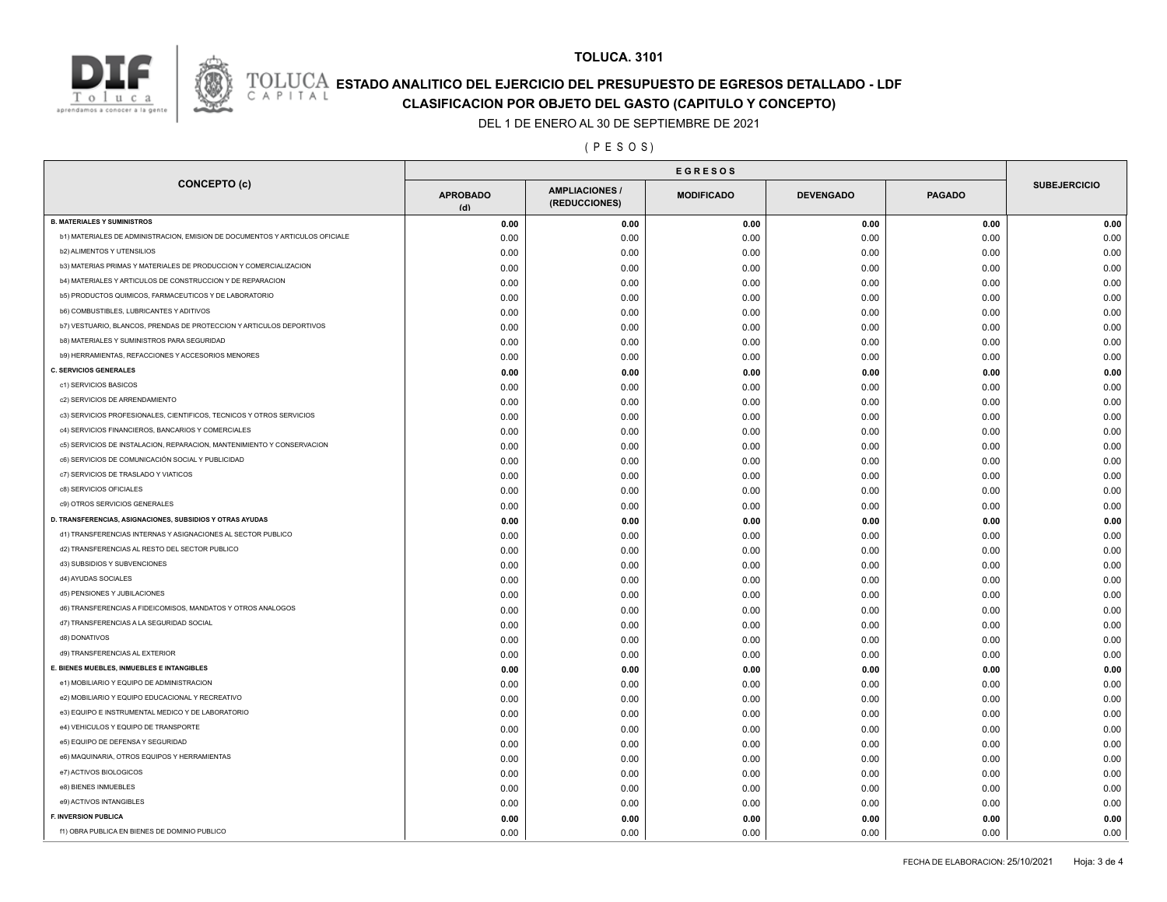

## **TOLUCA. 3101**

# **ESTADO ANALITICO DEL EJERCICIO DEL PRESUPUESTO DE EGRESOS DETALLADO - LDF**<br>CAPITAL CIASIFICACION POR OBJETO DEL GASTO (CAPITULO Y CONCEPTO)

**CLASIFICACION POR OBJETO DEL GASTO (CAPITULO Y CONCEPTO)**

DEL 1 DE ENERO AL 30 DE SEPTIEMBRE DE 2021

( P E S O S )

|                                                                              | <b>EGRESOS</b>         |                                        |                   |                  |               |                     |
|------------------------------------------------------------------------------|------------------------|----------------------------------------|-------------------|------------------|---------------|---------------------|
| <b>CONCEPTO (c)</b>                                                          | <b>APROBADO</b><br>(d) | <b>AMPLIACIONES /</b><br>(REDUCCIONES) | <b>MODIFICADO</b> | <b>DEVENGADO</b> | <b>PAGADO</b> | <b>SUBEJERCICIO</b> |
| <b>B. MATERIALES Y SUMINISTROS</b>                                           | 0.00                   | 0.00                                   | 0.00              | 0.00             | 0.00          | 0.00                |
| b1) MATERIALES DE ADMINISTRACION, EMISION DE DOCUMENTOS Y ARTICULOS OFICIALE | 0.00                   | 0.00                                   | 0.00              | 0.00             | 0.00          | 0.00                |
| <b>b2) ALIMENTOS Y UTENSILIOS</b>                                            | 0.00                   | 0.00                                   | 0.00              | 0.00             | 0.00          | 0.00                |
| b3) MATERIAS PRIMAS Y MATERIALES DE PRODUCCION Y COMERCIALIZACION            | 0.00                   | 0.00                                   | 0.00              | 0.00             | 0.00          | 0.00                |
| b4) MATERIALES Y ARTICULOS DE CONSTRUCCION Y DE REPARACION                   | 0.00                   | 0.00                                   | 0.00              | 0.00             | 0.00          | 0.00                |
| b5) PRODUCTOS QUIMICOS, FARMACEUTICOS Y DE LABORATORIO                       | 0.00                   | 0.00                                   | 0.00              | 0.00             | 0.00          | 0.00                |
| b6) COMBUSTIBLES, LUBRICANTES Y ADITIVOS                                     | 0.00                   | 0.00                                   | 0.00              | 0.00             | 0.00          | 0.00                |
| b7) VESTUARIO, BLANCOS, PRENDAS DE PROTECCION Y ARTICULOS DEPORTIVOS         | 0.00                   | 0.00                                   | 0.00              | 0.00             | 0.00          | 0.00                |
| b8) MATERIALES Y SUMINISTROS PARA SEGURIDAD                                  | 0.00                   | 0.00                                   | 0.00              | 0.00             | 0.00          | 0.00                |
| b9) HERRAMIENTAS, REFACCIONES Y ACCESORIOS MENORES                           | 0.00                   | 0.00                                   | 0.00              | 0.00             | 0.00          | 0.00                |
| <b>C. SERVICIOS GENERALES</b>                                                | 0.00                   | 0.00                                   | 0.00              | 0.00             | 0.00          | 0.00                |
| c1) SERVICIOS BASICOS                                                        | 0.00                   | 0.00                                   | 0.00              | 0.00             | 0.00          | 0.00                |
| c2) SERVICIOS DE ARRENDAMIENTO                                               | 0.00                   | 0.00                                   | 0.00              | 0.00             | 0.00          | 0.00                |
| c3) SERVICIOS PROFESIONALES, CIENTIFICOS, TECNICOS Y OTROS SERVICIOS         | 0.00                   | 0.00                                   | 0.00              | 0.00             | 0.00          | 0.00                |
| c4) SERVICIOS FINANCIEROS, BANCARIOS Y COMERCIALES                           | 0.00                   | 0.00                                   | 0.00              | 0.00             | 0.00          | 0.00                |
| c5) SERVICIOS DE INSTALACION, REPARACION, MANTENIMIENTO Y CONSERVACION       | 0.00                   | 0.00                                   | 0.00              | 0.00             | 0.00          | 0.00                |
| c6) SERVICIOS DE COMUNICACIÓN SOCIAL Y PUBLICIDAD                            | 0.00                   | 0.00                                   | 0.00              | 0.00             | 0.00          | 0.00                |
| c7) SERVICIOS DE TRASLADO Y VIATICOS                                         | 0.00                   | 0.00                                   | 0.00              | 0.00             | 0.00          | 0.00                |
| c8) SERVICIOS OFICIALES                                                      | 0.00                   | 0.00                                   | 0.00              | 0.00             | 0.00          | 0.00                |
| c9) OTROS SERVICIOS GENERALES                                                | 0.00                   | 0.00                                   | 0.00              | 0.00             | 0.00          | 0.00                |
| D. TRANSFERENCIAS, ASIGNACIONES, SUBSIDIOS Y OTRAS AYUDAS                    | 0.00                   | 0.00                                   | 0.00              | 0.00             | 0.00          | 0.00                |
| d1) TRANSFERENCIAS INTERNAS Y ASIGNACIONES AL SECTOR PUBLICO                 | 0.00                   | 0.00                                   | 0.00              | 0.00             | 0.00          | 0.00                |
| d2) TRANSFERENCIAS AL RESTO DEL SECTOR PUBLICO                               | 0.00                   | 0.00                                   | 0.00              | 0.00             | 0.00          | 0.00                |
| d3) SUBSIDIOS Y SUBVENCIONES                                                 | 0.00                   | 0.00                                   | 0.00              | 0.00             | 0.00          | 0.00                |
| d4) AYUDAS SOCIALES                                                          | 0.00                   | 0.00                                   | 0.00              | 0.00             | 0.00          | 0.00                |
| d5) PENSIONES Y JUBILACIONES                                                 | 0.00                   | 0.00                                   | 0.00              | 0.00             | 0.00          | 0.00                |
| d6) TRANSFERENCIAS A FIDEICOMISOS, MANDATOS Y OTROS ANALOGOS                 | 0.00                   | 0.00                                   | 0.00              | 0.00             | 0.00          | 0.00                |
| d7) TRANSFERENCIAS A LA SEGURIDAD SOCIAL                                     | 0.00                   | 0.00                                   | 0.00              | 0.00             | 0.00          | 0.00                |
| d8) DONATIVOS                                                                | 0.00                   | 0.00                                   | 0.00              | 0.00             | 0.00          | 0.00                |
| d9) TRANSFERENCIAS AL EXTERIOR                                               | 0.00                   | 0.00                                   | 0.00              | 0.00             | 0.00          | 0.00                |
| E. BIENES MUEBLES, INMUEBLES E INTANGIBLES                                   | 0.00                   | 0.00                                   | 0.00              | 0.00             | 0.00          | 0.00                |
| e1) MOBILIARIO Y EQUIPO DE ADMINISTRACION                                    | 0.00                   | 0.00                                   | 0.00              | 0.00             | 0.00          | 0.00                |
| e2) MOBILIARIO Y EQUIPO EDUCACIONAL Y RECREATIVO                             | 0.00                   | 0.00                                   | 0.00              | 0.00             | 0.00          | 0.00                |
| e3) EQUIPO E INSTRUMENTAL MEDICO Y DE LABORATORIO                            | 0.00                   | 0.00                                   | 0.00              | 0.00             | 0.00          | 0.00                |
| e4) VEHICULOS Y EQUIPO DE TRANSPORTE                                         | 0.00                   | 0.00                                   | 0.00              | 0.00             | 0.00          | 0.00                |
| e5) EQUIPO DE DEFENSA Y SEGURIDAD                                            | 0.00                   | 0.00                                   | 0.00              | 0.00             | 0.00          | 0.00                |
| e6) MAQUINARIA, OTROS EQUIPOS Y HERRAMIENTAS                                 | 0.00                   | 0.00                                   | 0.00              | 0.00             | 0.00          | 0.00                |
| e7) ACTIVOS BIOLOGICOS                                                       | 0.00                   | 0.00                                   | 0.00              | 0.00             | 0.00          | 0.00                |
| e8) BIENES INMUEBLES                                                         | 0.00                   | 0.00                                   | 0.00              | 0.00             | 0.00          | 0.00                |
| e9) ACTIVOS INTANGIBLES                                                      | 0.00                   | 0.00                                   | 0.00              | 0.00             | 0.00          | 0.00                |
| <b>F. INVERSION PUBLICA</b>                                                  | 0.00                   | 0.00                                   | 0.00              | 0.00             | 0.00          | 0.00                |
| f1) OBRA PUBLICA EN BIENES DE DOMINIO PUBLICO                                | 0.00                   | 0.00                                   | 0.00              | 0.00             | 0.00          | 0.00                |